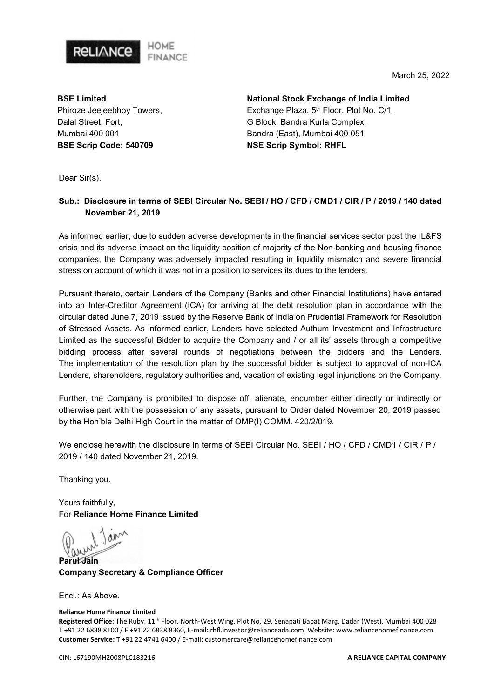

BSE Limited Phiroze Jeejeebhoy Towers, Dalal Street, Fort, Mumbai 400 001 BSE Scrip Code: 540709

**RELIANCE** 

National Stock Exchange of India Limited Exchange Plaza, 5<sup>th</sup> Floor, Plot No. C/1, G Block, Bandra Kurla Complex, Bandra (East), Mumbai 400 051 NSE Scrip Symbol: RHFL

Dear Sir(s),

### Sub.: Disclosure in terms of SEBI Circular No. SEBI / HO / CFD / CMD1 / CIR / P / 2019 / 140 dated November 21, 2019

As informed earlier, due to sudden adverse developments in the financial services sector post the IL&FS crisis and its adverse impact on the liquidity position of majority of the Non-banking and housing finance companies, the Company was adversely impacted resulting in liquidity mismatch and severe financial stress on account of which it was not in a position to services its dues to the lenders.

Pursuant thereto, certain Lenders of the Company (Banks and other Financial Institutions) have entered into an Inter-Creditor Agreement (ICA) for arriving at the debt resolution plan in accordance with the circular dated June 7, 2019 issued by the Reserve Bank of India on Prudential Framework for Resolution of Stressed Assets. As informed earlier, Lenders have selected Authum Investment and Infrastructure Limited as the successful Bidder to acquire the Company and / or all its' assets through a competitive bidding process after several rounds of negotiations between the bidders and the Lenders. The implementation of the resolution plan by the successful bidder is subject to approval of non-ICA Lenders, shareholders, regulatory authorities and, vacation of existing legal injunctions on the Company.

Further, the Company is prohibited to dispose off, alienate, encumber either directly or indirectly or otherwise part with the possession of any assets, pursuant to Order dated November 20, 2019 passed by the Hon'ble Delhi High Court in the matter of OMP(I) COMM. 420/2/019.

We enclose herewith the disclosure in terms of SEBI Circular No. SEBI / HO / CFD / CMD1 / CIR / P / 2019 / 140 dated November 21, 2019.

Thanking you.

Yours faithfully, For Reliance Home Finance Limited

1 ains

**Parul Jain** Company Secretary & Compliance Officer

Encl.: As Above.

#### Reliance Home Finance Limited

Registered Office: The Ruby, 11<sup>th</sup> Floor, North-West Wing, Plot No. 29, Senapati Bapat Marg, Dadar (West), Mumbai 400 028 T +91 22 6838 8100 / F +91 22 6838 8360, E-mail: rhfl.investor@relianceada.com, Website: www.reliancehomefinance.com Customer Service: T +91 22 4741 6400 / E-mail: customercare@reliancehomefinance.com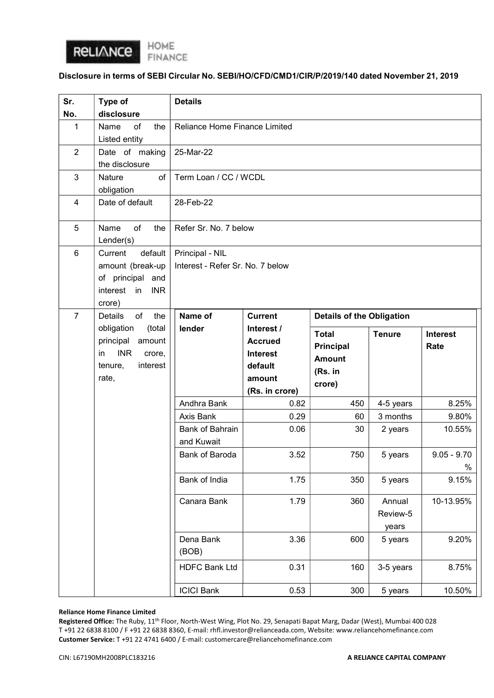

### Disclosure in terms of SEBI Circular No. SEBI/HO/CFD/CMD1/CIR/P/2019/140 dated November 21, 2019

| Sr.                     | Type of                                                                                                                                  | <b>Details</b>                                      |                                                                                        |                                                                 |                             |                         |
|-------------------------|------------------------------------------------------------------------------------------------------------------------------------------|-----------------------------------------------------|----------------------------------------------------------------------------------------|-----------------------------------------------------------------|-----------------------------|-------------------------|
| No.                     | disclosure                                                                                                                               |                                                     |                                                                                        |                                                                 |                             |                         |
| 1                       | of<br>the<br>Name<br>Listed entity                                                                                                       | Reliance Home Finance Limited                       |                                                                                        |                                                                 |                             |                         |
| $\overline{2}$          | Date of making                                                                                                                           | 25-Mar-22                                           |                                                                                        |                                                                 |                             |                         |
|                         | the disclosure                                                                                                                           |                                                     |                                                                                        |                                                                 |                             |                         |
| 3                       | of<br>Nature<br>obligation                                                                                                               | Term Loan / CC / WCDL                               |                                                                                        |                                                                 |                             |                         |
| $\overline{\mathbf{4}}$ | Date of default                                                                                                                          | 28-Feb-22                                           |                                                                                        |                                                                 |                             |                         |
| 5                       | Name<br>of<br>the<br>Lender(s)                                                                                                           | Refer Sr. No. 7 below                               |                                                                                        |                                                                 |                             |                         |
| $6\phantom{1}$          | Current<br>default<br>amount (break-up<br>of principal and<br>interest in<br><b>INR</b><br>crore)                                        | Principal - NIL<br>Interest - Refer Sr. No. 7 below |                                                                                        |                                                                 |                             |                         |
| $\overline{7}$          | of<br>the<br><b>Details</b><br>obligation<br>(total<br>principal<br>amount<br><b>INR</b><br>in<br>crore,<br>interest<br>tenure,<br>rate, | Name of                                             | <b>Current</b>                                                                         | <b>Details of the Obligation</b>                                |                             |                         |
|                         |                                                                                                                                          | lender                                              | Interest /<br><b>Accrued</b><br><b>Interest</b><br>default<br>amount<br>(Rs. in crore) | <b>Total</b><br>Principal<br><b>Amount</b><br>(Rs. in<br>crore) | <b>Tenure</b>               | <b>Interest</b><br>Rate |
|                         |                                                                                                                                          | Andhra Bank                                         | 0.82                                                                                   | 450                                                             | 4-5 years                   | 8.25%                   |
|                         |                                                                                                                                          | Axis Bank                                           | 0.29                                                                                   | 60                                                              | 3 months                    | 9.80%                   |
|                         |                                                                                                                                          | <b>Bank of Bahrain</b><br>and Kuwait                | 0.06                                                                                   | 30                                                              | 2 years                     | 10.55%                  |
|                         |                                                                                                                                          | <b>Bank of Baroda</b>                               | 3.52                                                                                   | 750                                                             | 5 years                     | $9.05 - 9.70$<br>$\%$   |
|                         |                                                                                                                                          | Bank of India                                       | 1.75                                                                                   | 350                                                             | 5 years                     | 9.15%                   |
|                         |                                                                                                                                          | Canara Bank                                         | 1.79                                                                                   | 360                                                             | Annual<br>Review-5<br>years | 10-13.95%               |
|                         |                                                                                                                                          | Dena Bank<br>(BOB)                                  | 3.36                                                                                   | 600                                                             | 5 years                     | 9.20%                   |
|                         |                                                                                                                                          | <b>HDFC Bank Ltd</b>                                | 0.31                                                                                   | 160                                                             | 3-5 years                   | 8.75%                   |
|                         |                                                                                                                                          | <b>ICICI Bank</b>                                   | 0.53                                                                                   | 300                                                             | 5 years                     | 10.50%                  |

### Reliance Home Finance Limited

Registered Office: The Ruby, 11th Floor, North-West Wing, Plot No. 29, Senapati Bapat Marg, Dadar (West), Mumbai 400 028 T +91 22 6838 8100 / F +91 22 6838 8360, E-mail: rhfl.investor@relianceada.com, Website: www.reliancehomefinance.com Customer Service: T +91 22 4741 6400 / E-mail: customercare@reliancehomefinance.com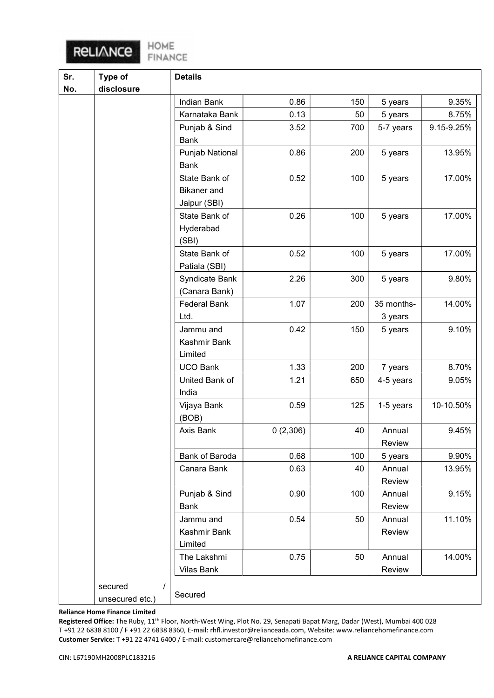# RELIANCE

HOME<br>FINANCE

| Sr. | Type of         | <b>Details</b>      |          |     |            |            |
|-----|-----------------|---------------------|----------|-----|------------|------------|
| No. | disclosure      |                     |          |     |            |            |
|     |                 | Indian Bank         | 0.86     | 150 | 5 years    | 9.35%      |
|     |                 | Karnataka Bank      | 0.13     | 50  | 5 years    | 8.75%      |
|     |                 | Punjab & Sind       | 3.52     | 700 | 5-7 years  | 9.15-9.25% |
|     |                 | <b>Bank</b>         |          |     |            |            |
|     |                 | Punjab National     | 0.86     | 200 | 5 years    | 13.95%     |
|     |                 | <b>Bank</b>         |          |     |            |            |
|     |                 | State Bank of       | 0.52     | 100 | 5 years    | 17.00%     |
|     |                 | <b>Bikaner</b> and  |          |     |            |            |
|     |                 | Jaipur (SBI)        |          |     |            |            |
|     |                 | State Bank of       | 0.26     | 100 | 5 years    | 17.00%     |
|     |                 | Hyderabad           |          |     |            |            |
|     |                 | (SBI)               |          |     |            |            |
|     |                 | State Bank of       | 0.52     | 100 | 5 years    | 17.00%     |
|     |                 | Patiala (SBI)       |          |     |            |            |
|     |                 | Syndicate Bank      | 2.26     | 300 | 5 years    | 9.80%      |
|     |                 | (Canara Bank)       |          |     |            |            |
|     |                 | <b>Federal Bank</b> | 1.07     | 200 | 35 months- | 14.00%     |
|     |                 | Ltd.                |          |     | 3 years    |            |
|     |                 | Jammu and           | 0.42     | 150 | 5 years    | 9.10%      |
|     |                 | Kashmir Bank        |          |     |            |            |
|     |                 | Limited             |          |     |            |            |
|     |                 | <b>UCO Bank</b>     | 1.33     | 200 | 7 years    | 8.70%      |
|     |                 | United Bank of      | 1.21     | 650 | 4-5 years  | 9.05%      |
|     |                 | India               |          |     |            |            |
|     |                 | Vijaya Bank         | 0.59     | 125 | 1-5 years  | 10-10.50%  |
|     |                 | (BOB)               |          |     |            |            |
|     |                 | Axis Bank           | 0(2,306) | 40  | Annual     | 9.45%      |
|     |                 |                     |          |     | Review     |            |
|     |                 | Bank of Baroda      | 0.68     | 100 | 5 years    | 9.90%      |
|     |                 | Canara Bank         | 0.63     | 40  | Annual     | 13.95%     |
|     |                 |                     |          |     | Review     |            |
|     |                 | Punjab & Sind       | 0.90     | 100 | Annual     | 9.15%      |
|     |                 | Bank                |          |     | Review     |            |
|     |                 | Jammu and           | 0.54     | 50  | Annual     | 11.10%     |
|     |                 | Kashmir Bank        |          |     | Review     |            |
|     |                 | Limited             |          |     |            |            |
|     |                 | The Lakshmi         | 0.75     | 50  | Annual     | 14.00%     |
|     |                 | Vilas Bank          |          |     | Review     |            |
|     | secured         |                     |          |     |            |            |
|     | unsecured etc.) | Secured             |          |     |            |            |

### Reliance Home Finance Limited

Registered Office: The Ruby, 11th Floor, North-West Wing, Plot No. 29, Senapati Bapat Marg, Dadar (West), Mumbai 400 028 T +91 22 6838 8100 / F +91 22 6838 8360, E-mail: rhfl.investor@relianceada.com, Website: www.reliancehomefinance.com Customer Service: T +91 22 4741 6400 / E-mail: customercare@reliancehomefinance.com